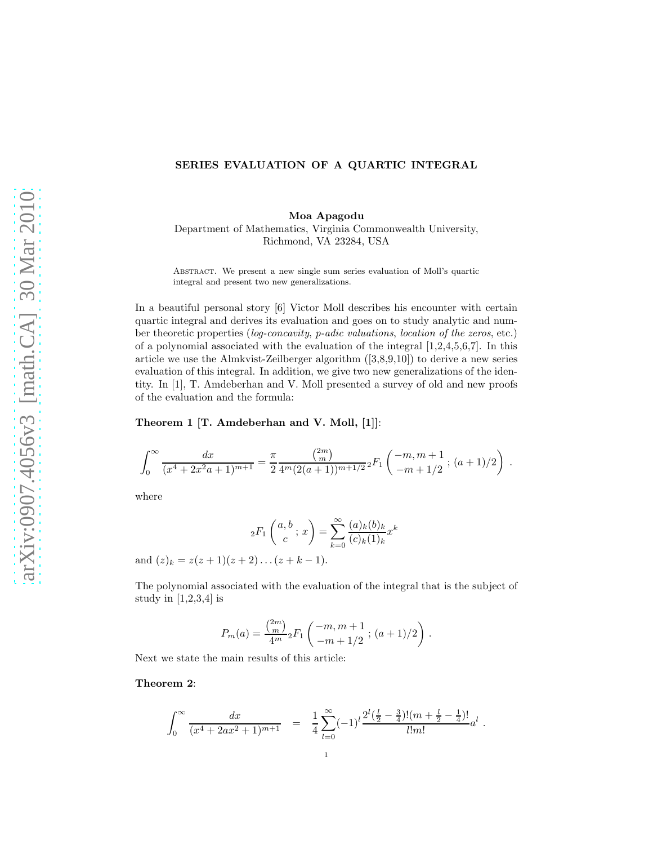# SERIES EVALUATION OF A QUARTIC INTEGRAL

Moa Apagodu Department of Mathematics, Virginia Commonwealth University, Richmond, VA 23284, USA

Abstract. We present a new single sum series evaluation of Moll's quartic integral and present two new generalizations.

In a beautiful personal story [6] Victor Moll describes his encounter with certain quartic integral and derives its evaluation and goes on to study analytic and number theoretic properties (log-concavity, p-adic valuations, location of the zeros, etc.) of a polynomial associated with the evaluation of the integral  $[1,2,4,5,6,7]$ . In this article we use the Almkvist-Zeilberger algorithm ([3,8,9,10]) to derive a new series evaluation of this integral. In addition, we give two new generalizations of the identity. In [1], T. Amdeberhan and V. Moll presented a survey of old and new proofs of the evaluation and the formula:

### Theorem 1 [T. Amdeberhan and V. Moll, [1]]:

$$
\int_0^\infty \frac{dx}{(x^4 + 2x^2a + 1)^{m+1}} = \frac{\pi}{2} \frac{\binom{2m}{m}}{4^m (2(a+1))^{m+1/2}} {}_2F_1\left(\begin{array}{c} -m, m+1 \\ -m+1/2 \end{array}; (a+1)/2\right) .
$$

where

$$
{}_2F_1\left(\begin{matrix} a,b \\ c \end{matrix}; x\right) = \sum_{k=0}^{\infty} \frac{(a)_k (b)_k}{(c)_k (1)_k} x^k
$$

and  $(z)_k = z(z+1)(z+2)...(z+k-1).$ 

The polynomial associated with the evaluation of the integral that is the subject of study in  $[1,2,3,4]$  is

$$
P_m(a) = \frac{\binom{2m}{m}}{4^m} {}_2F_1\left( \frac{-m, m+1}{-m+1/2} \; ; \; (a+1)/2 \right) \, .
$$

Next we state the main results of this article:

#### Theorem 2:

$$
\int_0^\infty \frac{dx}{(x^4 + 2ax^2 + 1)^{m+1}} = \frac{1}{4} \sum_{l=0}^\infty (-1)^l \frac{2^l(\frac{l}{2} - \frac{3}{4})!(m + \frac{l}{2} - \frac{1}{4})!}{l!m!} a^l.
$$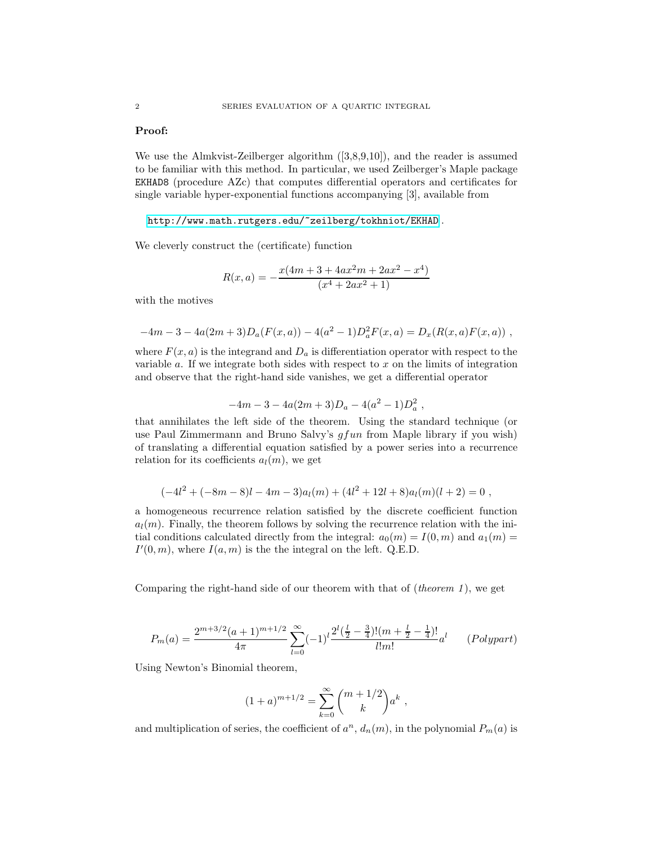### Proof:

We use the Almkvist-Zeilberger algorithm ([3,8,9,10]), and the reader is assumed to be familiar with this method. In particular, we used Zeilberger's Maple package EKHAD8 (procedure AZc) that computes differential operators and certificates for single variable hyper-exponential functions accompanying [3], available from

<http://www.math.rutgers.edu/~zeilberg/tokhniot/EKHAD> .

We cleverly construct the (certificate) function

$$
R(x,a) = -\frac{x(4m + 3 + 4ax^2m + 2ax^2 - x^4)}{(x^4 + 2ax^2 + 1)}
$$

with the motives

$$
-4m-3-4a(2m+3)Da(F(x, a)) - 4(a2-1)Da2F(x, a) = Dx(R(x, a)F(x, a)),
$$

where  $F(x, a)$  is the integrand and  $D_a$  is differentiation operator with respect to the variable  $a$ . If we integrate both sides with respect to  $x$  on the limits of integration and observe that the right-hand side vanishes, we get a differential operator

$$
-4m-3-4a(2m+3)Da - 4(a2-1)Da2,
$$

that annihilates the left side of the theorem. Using the standard technique (or use Paul Zimmermann and Bruno Salvy's  $qfun$  from Maple library if you wish) of translating a differential equation satisfied by a power series into a recurrence relation for its coefficients  $a_l(m)$ , we get

$$
(-4l2 + (-8m - 8)l - 4m - 3)al(m) + (4l2 + 12l + 8)al(m)(l + 2) = 0,
$$

a homogeneous recurrence relation satisfied by the discrete coefficient function  $a_l(m)$ . Finally, the theorem follows by solving the recurrence relation with the initial conditions calculated directly from the integral:  $a_0(m) = I(0, m)$  and  $a_1(m) =$  $I'(0,m)$ , where  $I(a,m)$  is the the integral on the left. Q.E.D.

Comparing the right-hand side of our theorem with that of  $(theorem 1)$ , we get

$$
P_m(a) = \frac{2^{m+3/2}(a+1)^{m+1/2}}{4\pi} \sum_{l=0}^{\infty} (-1)^l \frac{2^l(\frac{l}{2} - \frac{3}{4})!(m + \frac{l}{2} - \frac{1}{4})!}{l!m!} a^l \qquad (Polypart)
$$

Using Newton's Binomial theorem,

$$
(1+a)^{m+1/2} = \sum_{k=0}^{\infty} {m+1/2 \choose k} a^k ,
$$

and multiplication of series, the coefficient of  $a^n$ ,  $d_n(m)$ , in the polynomial  $P_m(a)$  is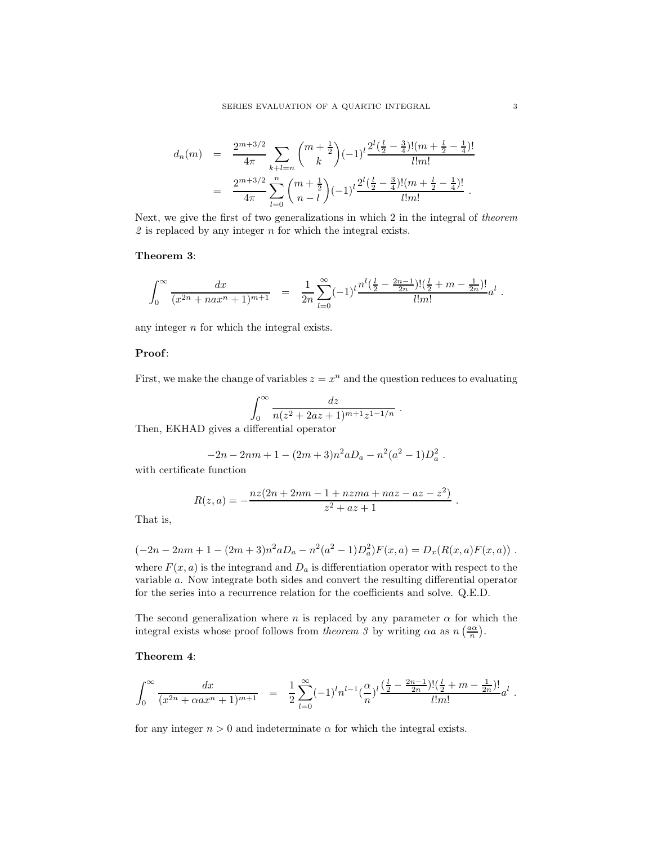$$
d_n(m) = \frac{2^{m+3/2}}{4\pi} \sum_{k+l=n} {m+\frac{1}{2} \choose k} (-1)^l \frac{2^l(\frac{l}{2}-\frac{3}{4})!(m+\frac{l}{2}-\frac{1}{4})!}{l!m!}
$$
  

$$
= \frac{2^{m+3/2}}{4\pi} \sum_{l=0}^{n} {m+\frac{1}{2} \choose n-l} (-1)^l \frac{2^l(\frac{l}{2}-\frac{3}{4})!(m+\frac{l}{2}-\frac{1}{4})!}{l!m!}.
$$

Next, we give the first of two generalizations in which 2 in the integral of theorem  $2$  is replaced by any integer  $n$  for which the integral exists.

### Theorem 3:

$$
\int_0^\infty \frac{dx}{(x^{2n}+nax^n+1)^{m+1}} = \frac{1}{2n} \sum_{l=0}^\infty (-1)^l \frac{n^l(\frac{l}{2}-\frac{2n-1}{2n})!(\frac{l}{2}+m-\frac{1}{2n})!}{l!m!}a^l.
$$

any integer  $n$  for which the integral exists.

# Proof:

First, we make the change of variables  $z = x^n$  and the question reduces to evaluating

$$
\int_0^\infty \frac{dz}{n(z^2 + 2az + 1)^{m+1}z^{1-1/n}}.
$$

Then, EKHAD gives a differential operator

$$
-2n - 2nm + 1 - (2m + 3)n^2 aD_a - n^2(a^2 - 1)D_a^2.
$$

with certificate function

$$
R(z, a) = -\frac{nz(2n + 2nm - 1 + nzma + naz - az - z^{2})}{z^{2} + az + 1}
$$

.

That is,

$$
(-2n - 2nm + 1 - (2m + 3)n^{2}aD_{a} - n^{2}(a^{2} - 1)D_{a}^{2})F(x, a) = D_{x}(R(x, a)F(x, a))
$$

where  $F(x, a)$  is the integrand and  $D_a$  is differentiation operator with respect to the variable a. Now integrate both sides and convert the resulting differential operator for the series into a recurrence relation for the coefficients and solve. Q.E.D.

The second generalization where n is replaced by any parameter  $\alpha$  for which the integral exists whose proof follows from *theorem* 3 by writing  $\alpha a$  as  $n\left(\frac{a\alpha}{n}\right)$ .

# Theorem 4:

$$
\int_0^\infty \frac{dx}{(x^{2n} + \alpha ax^n + 1)^{m+1}} = \frac{1}{2} \sum_{l=0}^\infty (-1)^l n^{l-1} \left(\frac{\alpha}{n}\right)^l \frac{\left(\frac{l}{2} - \frac{2n-1}{2n}\right)! \left(\frac{l}{2} + m - \frac{1}{2n}\right)!}{l! m!} a^l.
$$

for any integer  $n > 0$  and indeterminate  $\alpha$  for which the integral exists.